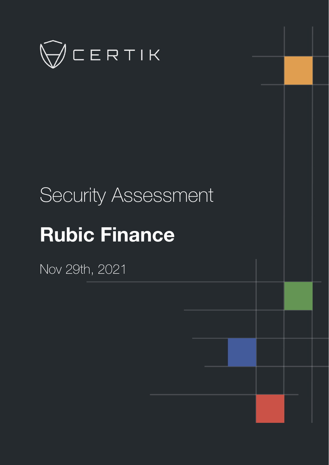

# Security Assessment

# **Rubic Finance**

Nov 29th, 2021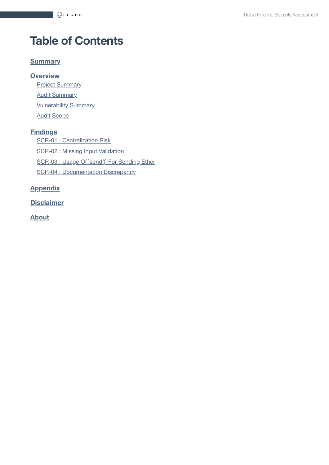# **Table of Contents**

#### **[Summary](#page-2-0)**

#### **[Overview](#page-3-0)**

**Project [Summary](#page-3-1)** 

**Audit [Summary](#page-3-2)** 

**[Vulnerability Summary](#page-3-3)** 

Audit [Scope](#page-4-0)

#### **[Findings](#page-5-0)**

SCR-01 : [Centralization](#page-6-0) Risk

SCR-02 : Missing Input [Validation](#page-9-0)

SCR-03 : Usage Of `send()` For [Sending](#page-10-0) Ether

SCR-04 : [Documentation](#page-11-0) Discrepancy

#### **[Appendix](#page-12-0)**

**[Disclaimer](#page-13-0)**

**[About](#page-16-0)**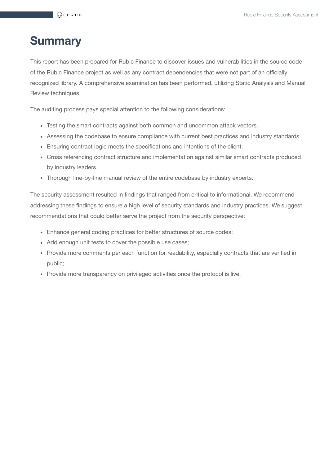## <span id="page-2-0"></span>**Summary**

This report has been prepared for Rubic Finance to discover issues and vulnerabilities in the source code of the Rubic Finance project as well as any contract dependencies that were not part of an officially recognized library. A comprehensive examination has been performed, utilizing Static Analysis and Manual Review techniques.

The auditing process pays special attention to the following considerations:

- Testing the smart contracts against both common and uncommon attack vectors.
- Assessing the codebase to ensure compliance with current best practices and industry standards.
- Ensuring contract logic meets the specifications and intentions of the client.
- Cross referencing contract structure and implementation against similar smart contracts produced by industry leaders.
- Thorough line-by-line manual review of the entire codebase by industry experts.

The security assessment resulted in findings that ranged from critical to informational. We recommend addressing these findings to ensure a high level of security standards and industry practices. We suggest recommendations that could better serve the project from the security perspective:

- Enhance general coding practices for better structures of source codes;
- Add enough unit tests to cover the possible use cases;
- Provide more comments per each function for readability, especially contracts that are verified in public;
- Provide more transparency on privileged activities once the protocol is live.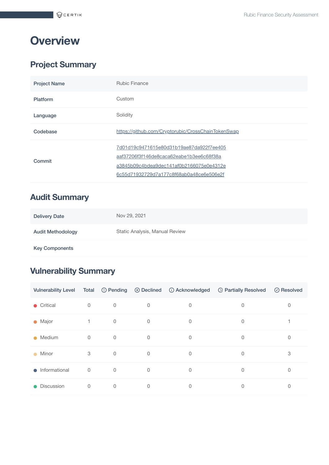# <span id="page-3-0"></span>**Overview**

## <span id="page-3-1"></span>**Project Summary**

| <b>Project Name</b> | <b>Rubic Finance</b>                                                                                                                                                         |
|---------------------|------------------------------------------------------------------------------------------------------------------------------------------------------------------------------|
| <b>Platform</b>     | Custom                                                                                                                                                                       |
| Language            | Solidity                                                                                                                                                                     |
| Codebase            | https://github.com/Cryptorubic/CrossChainTokenSwap                                                                                                                           |
| Commit              | 7d01d19c9471615e80d31b19ae87da922f7ee405<br>aaf37206f3f146de8caca62eabe1b3ee6c68f38a<br>a3845b09c4bdea9dec141af0b2166075e0e4312e<br>6c55d71932729d7a177c8f68ab0a48ce6e506e2f |

## <span id="page-3-2"></span>**Audit Summary**

| <b>Delivery Date</b>     | Nov 29, 2021                   |
|--------------------------|--------------------------------|
| <b>Audit Methodology</b> | Static Analysis, Manual Review |
| <b>Key Components</b>    |                                |

## <span id="page-3-3"></span>**Vulnerability Summary**

| <b>Vulnerability Level</b> | Total        |                     | $\circledcirc$ Pending $\circledcirc$ Declined | (i) Acknowledged | <b>B</b> Partially Resolved | $\oslash$ Resolved |
|----------------------------|--------------|---------------------|------------------------------------------------|------------------|-----------------------------|--------------------|
| $\bullet$ Critical         | $\mathbf 0$  | 0                   | 0                                              | 0                | 0                           | 0                  |
| $\bullet$ Major            | $\mathbf{1}$ | $\mathbf 0$         | 0                                              | 0                | 0                           |                    |
| Medium<br>$\bullet$        | $\mathbf 0$  | $\mathsf{O}\xspace$ | $\Omega$                                       | $\mathbf 0$      | $\Omega$                    | 0                  |
| Minor<br>$\bullet$         | 3            | $\mathbf 0$         | $\mathbf 0$                                    | 0                | $\mathbf{0}$                | 3                  |
| $\bullet$ Informational    | $\mathbf 0$  | $\overline{0}$      | 0                                              | $\mathbf 0$      | $\Omega$                    | 0                  |
| Discussion<br>$\bullet$    | $\mathbf 0$  | 0                   | 0                                              | 0                | $\mathbf 0$                 | 0                  |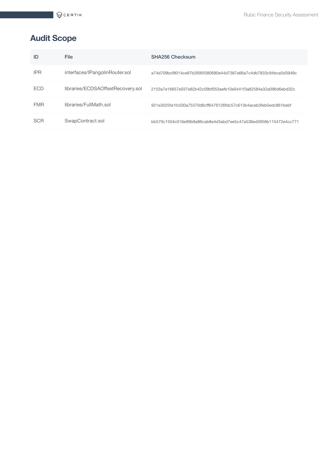## <span id="page-4-0"></span>**Audit Scope**

| ID         | File                              | SHA256 Checksum                                                   |
|------------|-----------------------------------|-------------------------------------------------------------------|
| <b>IPR</b> | interfaces/IPangolinRouter.sol    | a74d709bcf8014ce87b2695f380680e44d7387a66a7c4db7833c94bca5d3949c  |
| <b>FCD</b> | libraries/ECDSAOffsetRecovery.sol | 2153a7e16657e037e82b42c09bf053aefe10e0441f3a82584a32a096d6ebd32c  |
| <b>FMR</b> | libraries/FullMath.sol            | .921e3025fa1fc030a75370d6cff6476126fdc57c613b4aceb3feb5edc861bebf |
| <b>SCR</b> | SwapContract.sol                  | bb570c1504c016e99b9a86cab8e4d3abd7ee5c47a538ed3956b115472e4cc771  |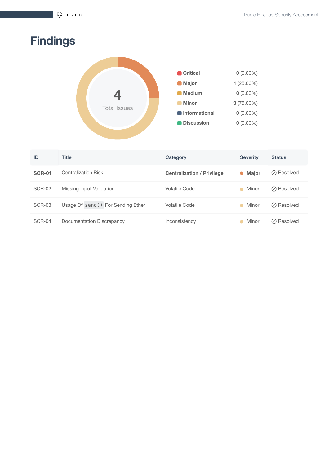# <span id="page-5-0"></span>**Findings**



| ID            | Title                              | Category                          | <b>Severity</b>           | <b>Status</b> |
|---------------|------------------------------------|-----------------------------------|---------------------------|---------------|
| <b>SCR-01</b> | Centralization Risk                | <b>Centralization / Privilege</b> | <b>Major</b><br>$\bullet$ | ⊙ Resolved    |
| SCR-02        | Missing Input Validation           | Volatile Code                     | Minor<br>$\bullet$        | ⊘ Resolved    |
| SCR-03        | Usage Of send () For Sending Ether | Volatile Code                     | Minor<br>$\bullet$        | ⊘ Resolved    |
| SCR-04        | Documentation Discrepancy          | Inconsistency                     | Minor                     | ⊙ Resolved    |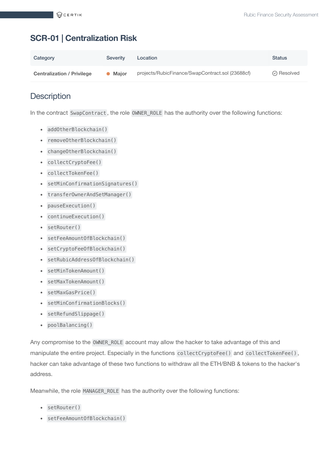## <span id="page-6-0"></span>**SCR-01 | Centralization Risk**

| Category                          | <b>Severity</b> | Location                                         | <b>Status</b>      |
|-----------------------------------|-----------------|--------------------------------------------------|--------------------|
| <b>Centralization / Privilege</b> | Maior           | projects/RubicFinance/SwapContract.sol (23688cf) | $\oslash$ Resolved |

## **Description**

In the contract SwapContract , the role OWNER\_ROLE has the authority over the following functions:

- addOtherBlockchain()
- removeOtherBlockchain()
- changeOtherBlockchain()
- collectCryptoFee()
- collectTokenFee()
- setMinConfirmationSignatures()
- transferOwnerAndSetManager()
- pauseExecution()
- continueExecution()
- setRouter()
- setFeeAmountOfBlockchain()
- setCryptoFeeOfBlockchain()
- setRubicAddressOfBlockchain()
- setMinTokenAmount()
- setMaxTokenAmount()
- setMaxGasPrice()
- setMinConfirmationBlocks()
- setRefundSlippage()
- poolBalancing()

Any compromise to the OWNER\_ROLE account may allow the hacker to take advantage of this and manipulate the entire project. Especially in the functions collectCryptoFee() and collectTokenFee(), hacker can take advantage of these two functions to withdraw all the ETH/BNB & tokens to the hacker's address.

Meanwhile, the role MANAGER\_ROLE has the authority over the following functions:

- setRouter()
- setFeeAmountOfBlockchain()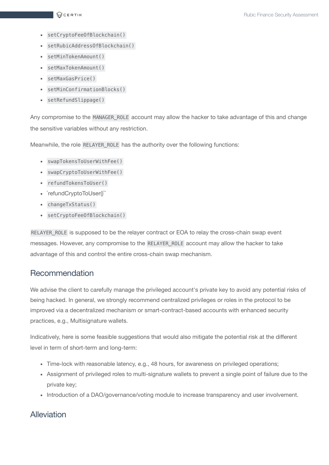- setCryptoFeeOfBlockchain()
- setRubicAddressOfBlockchain()
- setMinTokenAmount()
- setMaxTokenAmount()
- setMaxGasPrice()
- setMinConfirmationBlocks()
- setRefundSlippage()

Any compromise to the MANAGER\_ROLE account may allow the hacker to take advantage of this and change the sensitive variables without any restriction.

Meanwhile, the role RELAYER\_ROLE has the authority over the following functions:

- swapTokensToUserWithFee()
- swapCryptoToUserWithFee()
- refundTokensToUser()
- `refundCryptoToUser()``
- changeTxStatus()
- setCryptoFeeOfBlockchain()

RELAYER\_ROLE is supposed to be the relayer contract or EOA to relay the cross-chain swap event messages. However, any compromise to the RELAYER\_ROLE account may allow the hacker to take advantage of this and control the entire cross-chain swap mechanism.

#### Recommendation

We advise the client to carefully manage the privileged account's private key to avoid any potential risks of being hacked. In general, we strongly recommend centralized privileges or roles in the protocol to be improved via a decentralized mechanism or smart-contract-based accounts with enhanced security practices, e.g., Multisignature wallets.

Indicatively, here is some feasible suggestions that would also mitigate the potential risk at the different level in term of short-term and long-term:

- Time-lock with reasonable latency, e.g., 48 hours, for awareness on privileged operations;
- Assignment of privileged roles to multi-signature wallets to prevent a single point of failure due to the private key;
- Introduction of a DAO/governance/voting module to increase transparency and user involvement.

### Alleviation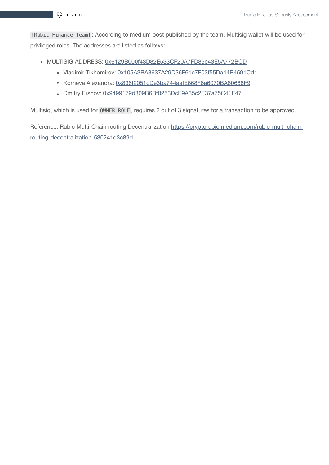[Rubic Finance Team] : According to medium post published by the team, Multisig wallet will be used for privileged roles. The addresses are listed as follows:

- MULTISIG ADDRESS: [0x6129B000f43D82E533CF20A7FD89c43E5A772BCD](https://etherscan.io/address/0x6129B000f43D82E533CF20A7FD89c43E5A772BCD)
	- o Vladimir Tikhomirov: [0x105A3BA3637A29D36F61c7F03f55Da44B4591Cd1](https://etherscan.io/address/0x105A3BA3637A29D36F61c7F03f55Da44B4591Cd1)
	- o Korneva Alexandra: [0x836f2051cDe3ba744aafE668F6a6070BA80668F9](https://etherscan.io/address/0x836f2051cDe3ba744aafE668F6a6070BA80668F9)
	- o Dmitry Ershov: [0x9499179d309B6Bf0253DcE9A35c2E37a75C41E47](https://etherscan.io/address/0x9499179d309B6Bf0253DcE9A35c2E37a75C41E47)

Multisig, which is used for OWNER\_ROLE , requires 2 out of 3 signatures for a transaction to be approved.

Reference: Rubic Multi-Chain routing Decentralization [https://cryptorubic.medium.com/rubic-multi-chain](https://cryptorubic.medium.com/rubic-multi-chain-routing-decentralization-530241d3c89d)routing-decentralization-530241d3c89d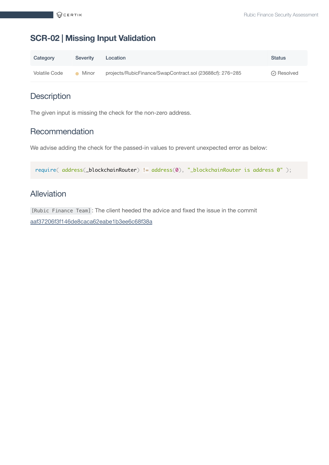## <span id="page-9-0"></span>**SCR-02 | Missing Input Validation**

| Category      | <b>Severity</b> | Location                                                  | <b>Status</b>      |
|---------------|-----------------|-----------------------------------------------------------|--------------------|
| Volatile Code | Minor           | projects/RubicFinance/SwapContract.sol (23688cf): 276~285 | $\oslash$ Resolved |

## **Description**

The given input is missing the check for the non-zero address.

#### Recommendation

We advise adding the check for the passed-in values to prevent unexpected error as below:

require( address(\_blockchainRouter) != address(0), "\_blockchainRouter is address 0" );

#### Alleviation

[Rubic Finance Team] : The client heeded the advice and fixed the issue in the commit [aaf37206f3f146de8caca62eabe1b3ee6c68f38a](https://github.com/Cryptorubic/CrossChainTokenSwap/tree/aaf37206f3f146de8caca62eabe1b3ee6c68f38a)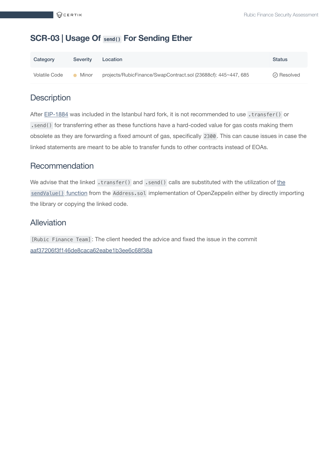#### <span id="page-10-0"></span>**SCR-03 | Usage Of send() For Sending Ether**

| Category      | <b>Severity</b> | Location                                                       | <b>Status</b>      |
|---------------|-----------------|----------------------------------------------------------------|--------------------|
| Volatile Code | Minor           | projects/RubicFinance/SwapContract.sol (23688cf): 445~447, 685 | $\oslash$ Resolved |

#### **Description**

After [EIP-1884](https://eips.ethereum.org/EIPS/eip-1884) was included in the Istanbul hard fork, it is not recommended to use .transfer() or . send() for transferring ether as these functions have a hard-coded value for gas costs making them obsolete as they are forwarding a fixed amount of gas, specifically 2300 . This can cause issues in case the linked statements are meant to be able to transfer funds to other contracts instead of EOAs.

#### Recommendation

We advise that the linked .transfer() and .send() calls are substituted with the utilization of the sendValue() function from the Address.sol [implementation](https://github.com/OpenZeppelin/openzeppelin-contracts/blob/87326f7313e851a603ef430baa33823e4813d977/contracts/utils/Address.sol#L37-L59) of OpenZeppelin either by directly importing the library or copying the linked code.

#### Alleviation

[Rubic Finance Team] : The client heeded the advice and fixed the issue in the commit [aaf37206f3f146de8caca62eabe1b3ee6c68f38a](https://github.com/Cryptorubic/CrossChainTokenSwap/tree/aaf37206f3f146de8caca62eabe1b3ee6c68f38a)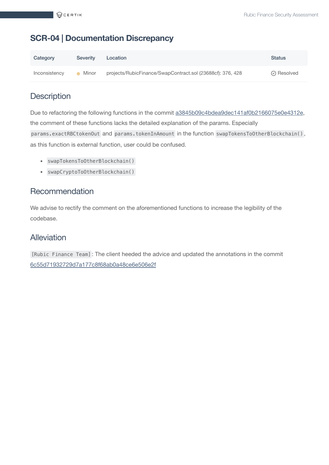#### <span id="page-11-0"></span>**SCR-04 | Documentation Discrepancy**

| Category      | <b>Severity</b> | Location                                                   | <b>Status</b>      |
|---------------|-----------------|------------------------------------------------------------|--------------------|
| Inconsistency | Minor           | projects/RubicFinance/SwapContract.sol (23688cf): 376, 428 | $\oslash$ Resolved |

#### **Description**

Due to refactoring the following functions in the commit [a3845b09c4bdea9dec141af0b2166075e0e4312e](https://github.com/Cryptorubic/CrossChainTokenSwap/pull/4/commits/a3845b09c4bdea9dec141af0b2166075e0e4312e), the comment of these functions lacks the detailed explanation of the params. Especially params.exactRBCtokenOut and params.tokenInAmount in the function swapTokensToOtherBlockchain(), as this function is external function, user could be confused.

- swapTokensToOtherBlockchain()
- swapCryptoToOtherBlockchain()

#### Recommendation

We advise to rectify the comment on the aforementioned functions to increase the legibility of the codebase.

#### Alleviation

[Rubic Finance Team] : The client heeded the advice and updated the annotations in the commit [6c55d71932729d7a177c8f68ab0a48ce6e506e2f](https://github.com/Cryptorubic/CrossChainTokenSwap/tree/6c55d71932729d7a177c8f68ab0a48ce6e506e2f)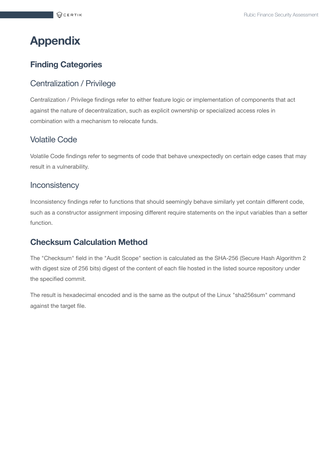# <span id="page-12-0"></span>**Appendix**

### **Finding Categories**

#### Centralization / Privilege

Centralization / Privilege findings refer to either feature logic or implementation of components that act against the nature of decentralization, such as explicit ownership or specialized access roles in combination with a mechanism to relocate funds.

#### Volatile Code

Volatile Code findings refer to segments of code that behave unexpectedly on certain edge cases that may result in a vulnerability.

#### **Inconsistency**

Inconsistency findings refer to functions that should seemingly behave similarly yet contain different code, such as a constructor assignment imposing different require statements on the input variables than a setter function.

#### **Checksum Calculation Method**

The "Checksum" field in the "Audit Scope" section is calculated as the SHA-256 (Secure Hash Algorithm 2 with digest size of 256 bits) digest of the content of each file hosted in the listed source repository under the specified commit.

The result is hexadecimal encoded and is the same as the output of the Linux "sha256sum" command against the target file.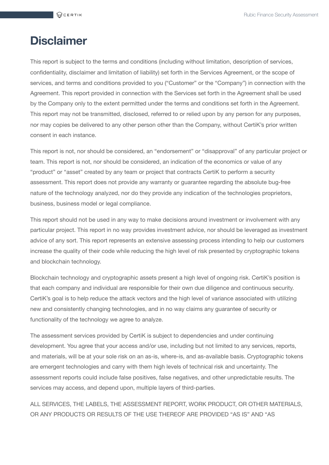## <span id="page-13-0"></span>**Disclaimer**

This report is subject to the terms and conditions (including without limitation, description of services, confidentiality, disclaimer and limitation of liability) set forth in the Services Agreement, or the scope of services, and terms and conditions provided to you ("Customer" or the "Company") in connection with the Agreement. This report provided in connection with the Services set forth in the Agreement shall be used by the Company only to the extent permitted under the terms and conditions set forth in the Agreement. This report may not be transmitted, disclosed, referred to or relied upon by any person for any purposes, nor may copies be delivered to any other person other than the Company, without CertiK's prior written consent in each instance.

This report is not, nor should be considered, an "endorsement" or "disapproval" of any particular project or team. This report is not, nor should be considered, an indication of the economics or value of any "product" or "asset" created by any team or project that contracts CertiK to perform a security assessment. This report does not provide any warranty or guarantee regarding the absolute bug-free nature of the technology analyzed, nor do they provide any indication of the technologies proprietors, business, business model or legal compliance.

This report should not be used in any way to make decisions around investment or involvement with any particular project. This report in no way provides investment advice, nor should be leveraged as investment advice of any sort. This report represents an extensive assessing process intending to help our customers increase the quality of their code while reducing the high level of risk presented by cryptographic tokens and blockchain technology.

Blockchain technology and cryptographic assets present a high level of ongoing risk. CertiK's position is that each company and individual are responsible for their own due diligence and continuous security. CertiK's goal is to help reduce the attack vectors and the high level of variance associated with utilizing new and consistently changing technologies, and in no way claims any guarantee of security or functionality of the technology we agree to analyze.

The assessment services provided by CertiK is subject to dependencies and under continuing development. You agree that your access and/or use, including but not limited to any services, reports, and materials, will be at your sole risk on an as-is, where-is, and as-available basis. Cryptographic tokens are emergent technologies and carry with them high levels of technical risk and uncertainty. The assessment reports could include false positives, false negatives, and other unpredictable results. The services may access, and depend upon, multiple layers of third-parties.

ALL SERVICES, THE LABELS, THE ASSESSMENT REPORT, WORK PRODUCT, OR OTHER MATERIALS, OR ANY PRODUCTS OR RESULTS OF THE USE THEREOF ARE PROVIDED "AS IS" AND "AS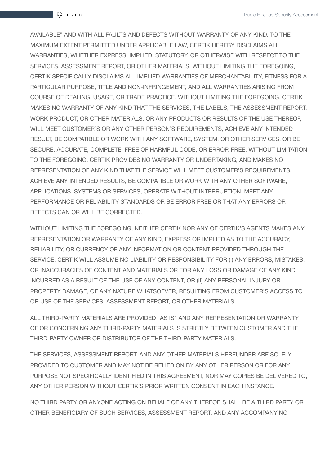AVAILABLE" AND WITH ALL FAULTS AND DEFECTS WITHOUT WARRANTY OF ANY KIND. TO THE MAXIMUM EXTENT PERMITTED UNDER APPLICABLE LAW, CERTIK HEREBY DISCLAIMS ALL WARRANTIES, WHETHER EXPRESS, IMPLIED, STATUTORY, OR OTHERWISE WITH RESPECT TO THE SERVICES, ASSESSMENT REPORT, OR OTHER MATERIALS. WITHOUT LIMITING THE FOREGOING, CERTIK SPECIFICALLY DISCLAIMS ALL IMPLIED WARRANTIES OF MERCHANTABILITY, FITNESS FOR A PARTICULAR PURPOSE, TITLE AND NON-INFRINGEMENT, AND ALL WARRANTIES ARISING FROM COURSE OF DEALING, USAGE, OR TRADE PRACTICE. WITHOUT LIMITING THE FOREGOING, CERTIK MAKES NO WARRANTY OF ANY KIND THAT THE SERVICES, THE LABELS, THE ASSESSMENT REPORT, WORK PRODUCT, OR OTHER MATERIALS, OR ANY PRODUCTS OR RESULTS OF THE USE THEREOF, WILL MEET CUSTOMER'S OR ANY OTHER PERSON'S REQUIREMENTS, ACHIEVE ANY INTENDED RESULT, BE COMPATIBLE OR WORK WITH ANY SOFTWARE, SYSTEM, OR OTHER SERVICES, OR BE SECURE, ACCURATE, COMPLETE, FREE OF HARMFUL CODE, OR ERROR-FREE. WITHOUT LIMITATION TO THE FOREGOING, CERTIK PROVIDES NO WARRANTY OR UNDERTAKING, AND MAKES NO REPRESENTATION OF ANY KIND THAT THE SERVICE WILL MEET CUSTOMER'S REQUIREMENTS, ACHIEVE ANY INTENDED RESULTS, BE COMPATIBLE OR WORK WITH ANY OTHER SOFTWARE, APPLICATIONS, SYSTEMS OR SERVICES, OPERATE WITHOUT INTERRUPTION, MEET ANY PERFORMANCE OR RELIABILITY STANDARDS OR BE ERROR FREE OR THAT ANY ERRORS OR DEFECTS CAN OR WILL BE CORRECTED.

WITHOUT LIMITING THE FOREGOING, NEITHER CERTIK NOR ANY OF CERTIK'S AGENTS MAKES ANY REPRESENTATION OR WARRANTY OF ANY KIND, EXPRESS OR IMPLIED AS TO THE ACCURACY, RELIABILITY, OR CURRENCY OF ANY INFORMATION OR CONTENT PROVIDED THROUGH THE SERVICE. CERTIK WILL ASSUME NO LIABILITY OR RESPONSIBILITY FOR (I) ANY ERRORS, MISTAKES, OR INACCURACIES OF CONTENT AND MATERIALS OR FOR ANY LOSS OR DAMAGE OF ANY KIND INCURRED AS A RESULT OF THE USE OF ANY CONTENT, OR (II) ANY PERSONAL INJURY OR PROPERTY DAMAGE, OF ANY NATURE WHATSOEVER, RESULTING FROM CUSTOMER'S ACCESS TO OR USE OF THE SERVICES, ASSESSMENT REPORT, OR OTHER MATERIALS.

ALL THIRD-PARTY MATERIALS ARE PROVIDED "AS IS" AND ANY REPRESENTATION OR WARRANTY OF OR CONCERNING ANY THIRD-PARTY MATERIALS IS STRICTLY BETWEEN CUSTOMER AND THE THIRD-PARTY OWNER OR DISTRIBUTOR OF THE THIRD-PARTY MATERIALS.

THE SERVICES, ASSESSMENT REPORT, AND ANY OTHER MATERIALS HEREUNDER ARE SOLELY PROVIDED TO CUSTOMER AND MAY NOT BE RELIED ON BY ANY OTHER PERSON OR FOR ANY PURPOSE NOT SPECIFICALLY IDENTIFIED IN THIS AGREEMENT, NOR MAY COPIES BE DELIVERED TO, ANY OTHER PERSON WITHOUT CERTIK'S PRIOR WRITTEN CONSENT IN EACH INSTANCE.

NO THIRD PARTY OR ANYONE ACTING ON BEHALF OF ANY THEREOF, SHALL BE A THIRD PARTY OR OTHER BENEFICIARY OF SUCH SERVICES, ASSESSMENT REPORT, AND ANY ACCOMPANYING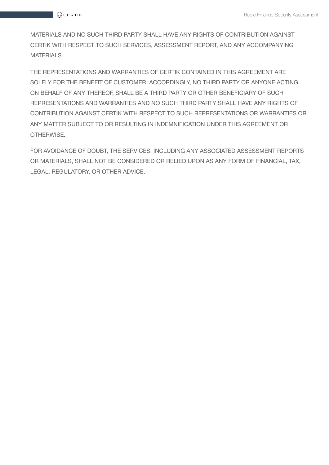MATERIALS AND NO SUCH THIRD PARTY SHALL HAVE ANY RIGHTS OF CONTRIBUTION AGAINST CERTIK WITH RESPECT TO SUCH SERVICES, ASSESSMENT REPORT, AND ANY ACCOMPANYING MATERIALS.

THE REPRESENTATIONS AND WARRANTIES OF CERTIK CONTAINED IN THIS AGREEMENT ARE SOLELY FOR THE BENEFIT OF CUSTOMER. ACCORDINGLY, NO THIRD PARTY OR ANYONE ACTING ON BEHALF OF ANY THEREOF, SHALL BE A THIRD PARTY OR OTHER BENEFICIARY OF SUCH REPRESENTATIONS AND WARRANTIES AND NO SUCH THIRD PARTY SHALL HAVE ANY RIGHTS OF CONTRIBUTION AGAINST CERTIK WITH RESPECT TO SUCH REPRESENTATIONS OR WARRANTIES OR ANY MATTER SUBJECT TO OR RESULTING IN INDEMNIFICATION UNDER THIS AGREEMENT OR OTHERWISE.

FOR AVOIDANCE OF DOUBT, THE SERVICES, INCLUDING ANY ASSOCIATED ASSESSMENT REPORTS OR MATERIALS, SHALL NOT BE CONSIDERED OR RELIED UPON AS ANY FORM OF FINANCIAL, TAX, LEGAL, REGULATORY, OR OTHER ADVICE.